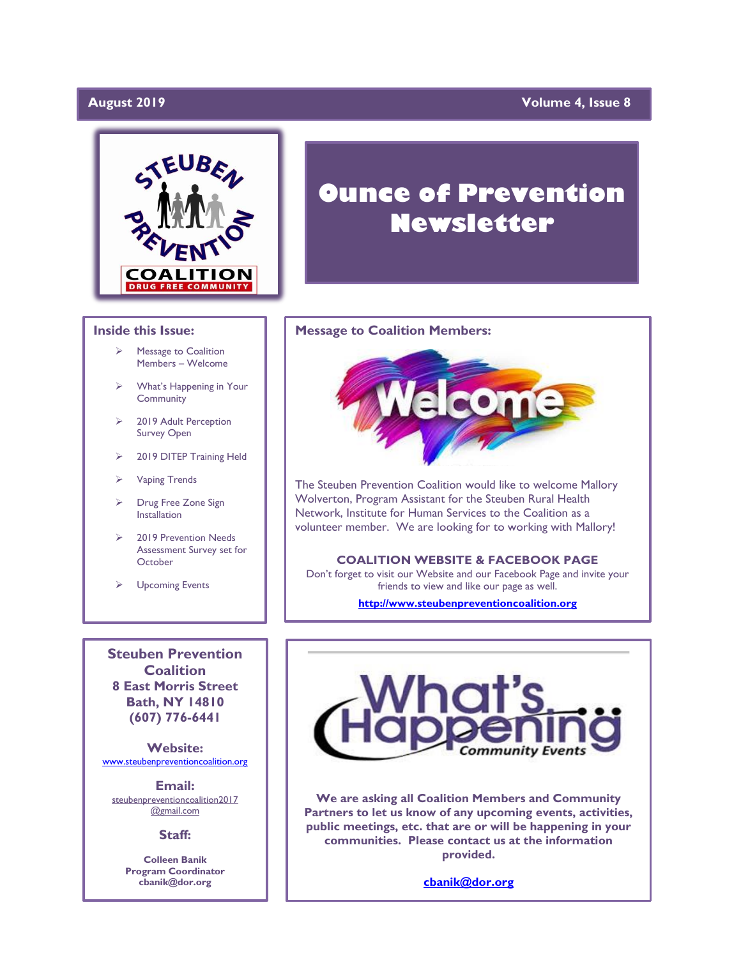# **August 2019**

# **Yolume 4, Issue 8**



# **Inside this Issue:**

- ➢ Message to Coalition Members – Welcome
- ➢ What's Happening in Your **Community**
- ➢ 2019 Adult Perception Survey Open
- ➢ 2019 DITEP Training Held
- ➢ Vaping Trends
- ➢ Drug Free Zone Sign Installation
- ➢ 2019 Prevention Needs Assessment Survey set for **October**
- ➢ Upcoming Events

**Steuben Prevention Coalition 8 East Morris Street Bath, NY 14810 (607) 776-6441**

**Website:**  [www.steubenpreventioncoalition.org](http://www.steubenpreventioncoalition.org/)

**Email:**  steubenpreventioncoalition2017 @gmail.com

**Staff:**

**Colleen Banik Program Coordinator cbanik@dor.org**

# **Ounce of Prevention Newsletter**

### **Message to Coalition Members:**



The Steuben Prevention Coalition would like to welcome Mallory Wolverton, Program Assistant for the Steuben Rural Health Network, Institute for Human Services to the Coalition as a volunteer member. We are looking for to working with Mallory!

### **COALITION WEBSITE & FACEBOOK PAGE**

Don't forget to visit our Website and our Facebook Page and invite your friends to view and like our page as well.

**[http://www.steubenpreventioncoalition.org](http://www.steubenpreventioncoalition.org/)**



**We are asking all Coalition Members and Community Partners to let us know of any upcoming events, activities, public meetings, etc. that are or will be happening in your communities. Please contact us at the information provided.**

**[cbanik@dor.org](mailto:cbanik@dor.org)**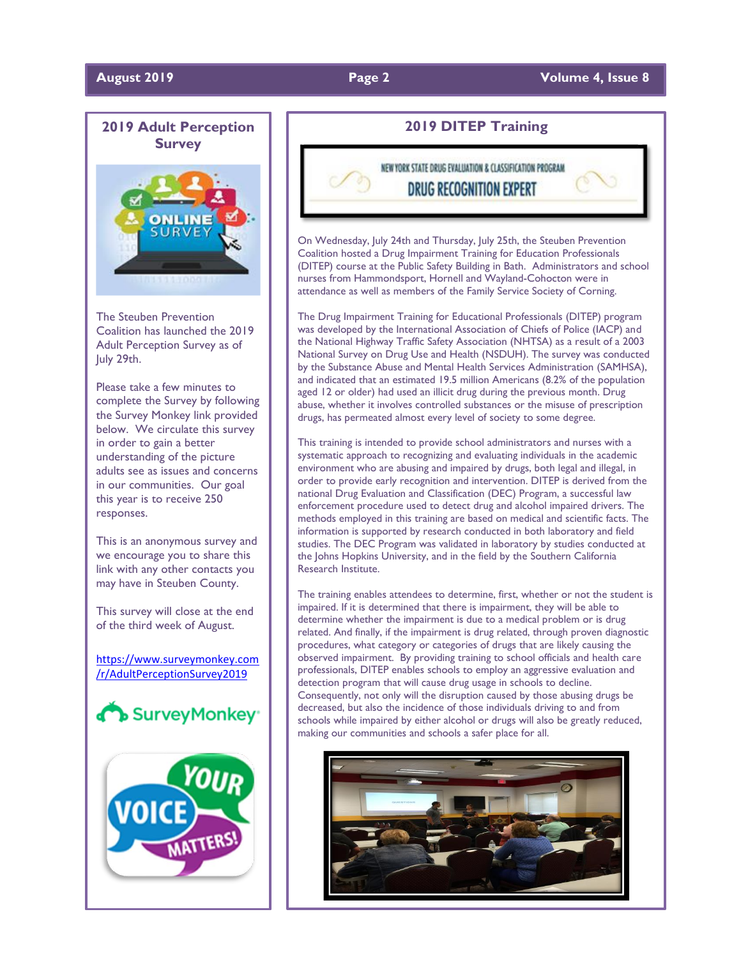## **August 2019 Page 2 Volume 4, Issue 8**



The Steuben Prevention Coalition has launched the 2019 Adult Perception Survey as of July 29th.

Please take a few minutes to complete the Survey by following the Survey Monkey link provided below. We circulate this survey in order to gain a better understanding of the picture adults see as issues and concerns in our communities. Our goal this year is to receive 250 responses.

This is an anonymous survey and we encourage you to share this link with any other contacts you may have in Steuben County.

This survey will close at the end of the third week of August.

[https://www.surveymonkey.com](https://www.surveymonkey.com/r/AdultPerceptionSurvey2019) [/r/AdultPerceptionSurvey2019](https://www.surveymonkey.com/r/AdultPerceptionSurvey2019)





# **2019 DITEP Training**

NEW YORK STATE DRUG EVALUATION & CLASSIFICATION PROGRAM **DRUG RECOGNITION EXPERT** 

On Wednesday, July 24th and Thursday, July 25th, the Steuben Prevention Coalition hosted a Drug Impairment Training for Education Professionals (DITEP) course at the Public Safety Building in Bath. Administrators and school nurses from Hammondsport, Hornell and Wayland-Cohocton were in attendance as well as members of the Family Service Society of Corning.

The Drug Impairment Training for Educational Professionals (DITEP) program was developed by the International Association of Chiefs of Police (IACP) and the National Highway Traffic Safety Association (NHTSA) as a result of a 2003 National Survey on Drug Use and Health (NSDUH). The survey was conducted by the Substance Abuse and Mental Health Services Administration (SAMHSA), and indicated that an estimated 19.5 million Americans (8.2% of the population aged 12 or older) had used an illicit drug during the previous month. Drug abuse, whether it involves controlled substances or the misuse of prescription drugs, has permeated almost every level of society to some degree.

This training is intended to provide school administrators and nurses with a systematic approach to recognizing and evaluating individuals in the academic environment who are abusing and impaired by drugs, both legal and illegal, in order to provide early recognition and intervention. DITEP is derived from the national Drug Evaluation and Classification (DEC) Program, a successful law enforcement procedure used to detect drug and alcohol impaired drivers. The methods employed in this training are based on medical and scientific facts. The information is supported by research conducted in both laboratory and field studies. The DEC Program was validated in laboratory by studies conducted at the Johns Hopkins University, and in the field by the Southern California Research Institute.

The training enables attendees to determine, first, whether or not the student is impaired. If it is determined that there is impairment, they will be able to determine whether the impairment is due to a medical problem or is drug related. And finally, if the impairment is drug related, through proven diagnostic procedures, what category or categories of drugs that are likely causing the observed impairment. By providing training to school officials and health care professionals, DITEP enables schools to employ an aggressive evaluation and detection program that will cause drug usage in schools to decline. Consequently, not only will the disruption caused by those abusing drugs be decreased, but also the incidence of those individuals driving to and from schools while impaired by either alcohol or drugs will also be greatly reduced, making our communities and schools a safer place for all.

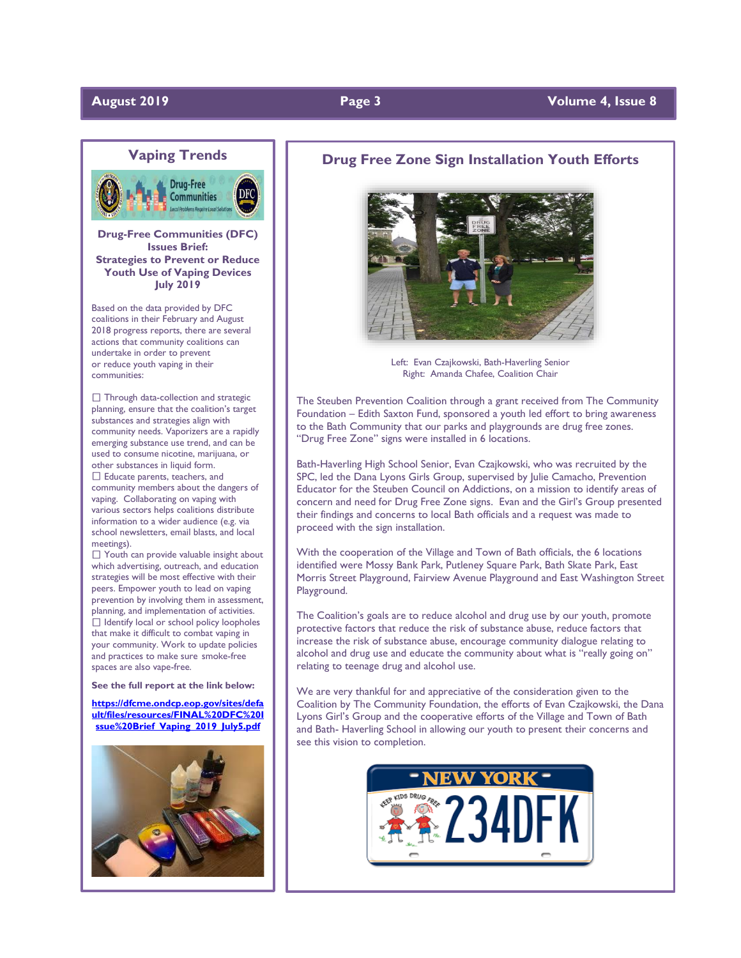# **August 2019 Page 3 Volume 4, Issue 8**



**Drug-Free Communities (DFC) Issues Brief: Strategies to Prevent or Reduce Youth Use of Vaping Devices July 2019**

Based on the data provided by DFC coalitions in their February and August 2018 progress reports, there are several actions that community coalitions can undertake in order to prevent or reduce youth vaping in their communities:

 $\Box$  Through data-collection and strategic planning, ensure that the coalition's target substances and strategies align with community needs. Vaporizers are a rapidly emerging substance use trend, and can be used to consume nicotine, marijuana, or other substances in liquid form. □ Educate parents, teachers, and community members about the dangers of vaping. Collaborating on vaping with various sectors helps coalitions distribute

information to a wider audience (e.g. via school newsletters, email blasts, and local meetings).

 $\Box$  Youth can provide valuable insight about which advertising, outreach, and education strategies will be most effective with their peers. Empower youth to lead on vaping prevention by involving them in assessment, planning, and implementation of activities.  $\Box$  Identify local or school policy loopholes that make it difficult to combat vaping in your community. Work to update policies and practices to make sure smoke-free spaces are also vape-free.

**See the full report at the link below:**

**[https://dfcme.ondcp.eop.gov/sites/defa](https://dfcme.ondcp.eop.gov/sites/default/files/resources/FINAL%20DFC%20Issue%20Brief_Vaping_2019_July5.pdf) [ult/files/resources/FINAL%20DFC%20I](https://dfcme.ondcp.eop.gov/sites/default/files/resources/FINAL%20DFC%20Issue%20Brief_Vaping_2019_July5.pdf) [ssue%20Brief\\_Vaping\\_2019\\_July5.pdf](https://dfcme.ondcp.eop.gov/sites/default/files/resources/FINAL%20DFC%20Issue%20Brief_Vaping_2019_July5.pdf)**



## **Drug Free Zone Sign Installation Youth Efforts**



Left: Evan Czajkowski, Bath-Haverling Senior Right: Amanda Chafee, Coalition Chair

The Steuben Prevention Coalition through a grant received from The Community Foundation – Edith Saxton Fund, sponsored a youth led effort to bring awareness to the Bath Community that our parks and playgrounds are drug free zones. "Drug Free Zone" signs were installed in 6 locations.

Bath-Haverling High School Senior, Evan Czajkowski, who was recruited by the SPC, led the Dana Lyons Girls Group, supervised by Julie Camacho, Prevention Educator for the Steuben Council on Addictions, on a mission to identify areas of concern and need for Drug Free Zone signs. Evan and the Girl's Group presented their findings and concerns to local Bath officials and a request was made to proceed with the sign installation.

With the cooperation of the Village and Town of Bath officials, the 6 locations identified were Mossy Bank Park, Putleney Square Park, Bath Skate Park, East Morris Street Playground, Fairview Avenue Playground and East Washington Street Playground.

The Coalition's goals are to reduce alcohol and drug use by our youth, promote protective factors that reduce the risk of substance abuse, reduce factors that increase the risk of substance abuse, encourage community dialogue relating to alcohol and drug use and educate the community about what is "really going on" relating to teenage drug and alcohol use.

We are very thankful for and appreciative of the consideration given to the Coalition by The Community Foundation, the efforts of Evan Czajkowski, the Dana Lyons Girl's Group and the cooperative efforts of the Village and Town of Bath and Bath- Haverling School in allowing our youth to present their concerns and see this vision to completion.